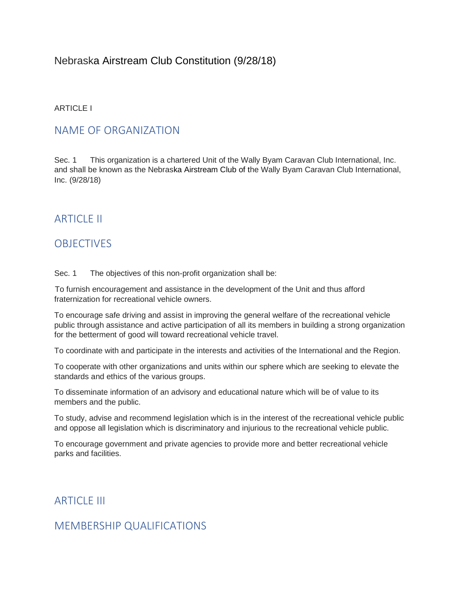## Nebraska Airstream Club Constitution (9/28/18)

#### ARTICLE I

#### NAME OF ORGANIZATION

Sec. 1 This organization is a chartered Unit of the Wally Byam Caravan Club International, Inc. and shall be known as the Nebraska Airstream Club of the Wally Byam Caravan Club International, Inc. (9/28/18)

## **ARTICLE II**

## **OBJECTIVES**

Sec. 1 The objectives of this non-profit organization shall be:

To furnish encouragement and assistance in the development of the Unit and thus afford fraternization for recreational vehicle owners.

To encourage safe driving and assist in improving the general welfare of the recreational vehicle public through assistance and active participation of all its members in building a strong organization for the betterment of good will toward recreational vehicle travel.

To coordinate with and participate in the interests and activities of the International and the Region.

To cooperate with other organizations and units within our sphere which are seeking to elevate the standards and ethics of the various groups.

To disseminate information of an advisory and educational nature which will be of value to its members and the public.

To study, advise and recommend legislation which is in the interest of the recreational vehicle public and oppose all legislation which is discriminatory and injurious to the recreational vehicle public.

To encourage government and private agencies to provide more and better recreational vehicle parks and facilities.

**ARTICLE III** 

## MEMBERSHIP QUALIFICATIONS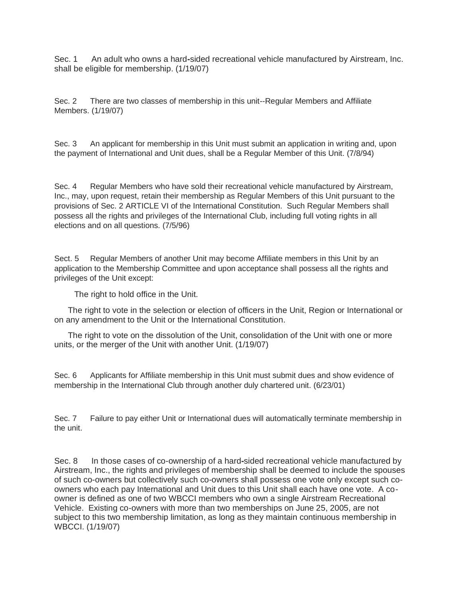Sec. 1 An adult who owns a hard**-**sided recreational vehicle manufactured by Airstream, Inc. shall be eligible for membership. (1/19/07)

Sec. 2 There are two classes of membership in this unit--Regular Members and Affiliate Members. (1/19/07)

Sec. 3 An applicant for membership in this Unit must submit an application in writing and, upon the payment of International and Unit dues, shall be a Regular Member of this Unit. (7/8/94)

Sec. 4 Regular Members who have sold their recreational vehicle manufactured by Airstream, Inc., may, upon request, retain their membership as Regular Members of this Unit pursuant to the provisions of Sec. 2 ARTICLE VI of the International Constitution. Such Regular Members shall possess all the rights and privileges of the International Club, including full voting rights in all elections and on all questions. (7/5/96)

Sect. 5 Regular Members of another Unit may become Affiliate members in this Unit by an application to the Membership Committee and upon acceptance shall possess all the rights and privileges of the Unit except:

The right to hold office in the Unit.

 The right to vote in the selection or election of officers in the Unit, Region or International or on any amendment to the Unit or the International Constitution.

 The right to vote on the dissolution of the Unit, consolidation of the Unit with one or more units, or the merger of the Unit with another Unit. (1/19/07)

Sec. 6 Applicants for Affiliate membership in this Unit must submit dues and show evidence of membership in the International Club through another duly chartered unit. (6/23/01)

Sec. 7 Failure to pay either Unit or International dues will automatically terminate membership in the unit.

Sec. 8 In those cases of co-ownership of a hard**-**sided recreational vehicle manufactured by Airstream, Inc., the rights and privileges of membership shall be deemed to include the spouses of such co-owners but collectively such co-owners shall possess one vote only except such coowners who each pay International and Unit dues to this Unit shall each have one vote. A coowner is defined as one of two WBCCI members who own a single Airstream Recreational Vehicle. Existing co-owners with more than two memberships on June 25, 2005, are not subject to this two membership limitation, as long as they maintain continuous membership in WBCCI. (1/19/07)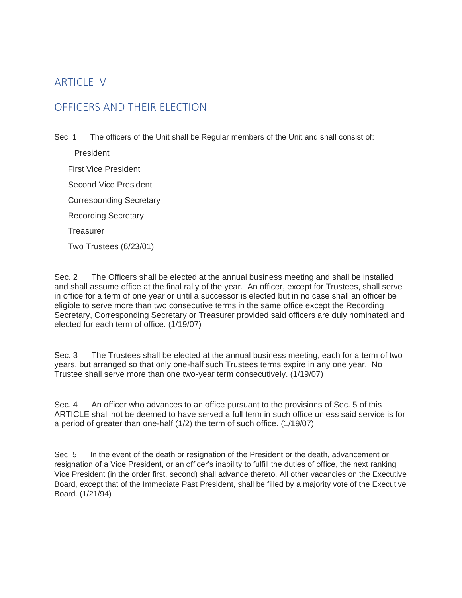# ARTICLE IV

# OFFICERS AND THEIR ELECTION

Sec. 1 The officers of the Unit shall be Regular members of the Unit and shall consist of:

 President First Vice President Second Vice President Corresponding Secretary Recording Secretary **Treasurer** Two Trustees (6/23/01)

Sec. 2 The Officers shall be elected at the annual business meeting and shall be installed and shall assume office at the final rally of the year. An officer, except for Trustees, shall serve in office for a term of one year or until a successor is elected but in no case shall an officer be eligible to serve more than two consecutive terms in the same office except the Recording Secretary, Corresponding Secretary or Treasurer provided said officers are duly nominated and elected for each term of office. (1/19/07)

Sec. 3 The Trustees shall be elected at the annual business meeting, each for a term of two years, but arranged so that only one-half such Trustees terms expire in any one year. No Trustee shall serve more than one two-year term consecutively. (1/19/07)

Sec. 4 An officer who advances to an office pursuant to the provisions of Sec. 5 of this ARTICLE shall not be deemed to have served a full term in such office unless said service is for a period of greater than one-half (1/2) the term of such office. (1/19/07)

Sec. 5 In the event of the death or resignation of the President or the death, advancement or resignation of a Vice President, or an officer's inability to fulfill the duties of office, the next ranking Vice President (in the order first, second) shall advance thereto. All other vacancies on the Executive Board, except that of the Immediate Past President, shall be filled by a majority vote of the Executive Board. (1/21/94)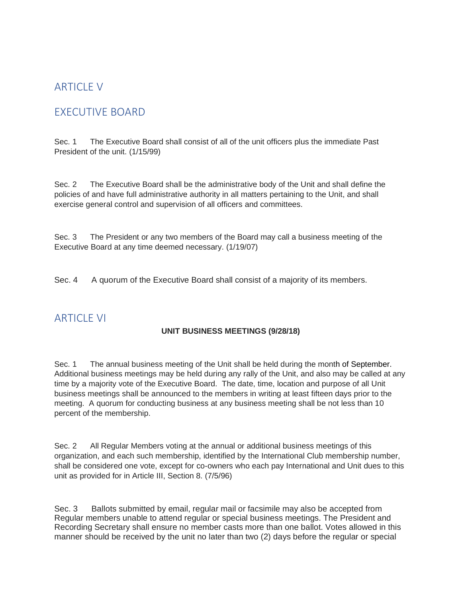# **ARTICLE V**

# EXECUTIVE BOARD

Sec. 1 The Executive Board shall consist of all of the unit officers plus the immediate Past President of the unit. (1/15/99)

Sec. 2 The Executive Board shall be the administrative body of the Unit and shall define the policies of and have full administrative authority in all matters pertaining to the Unit, and shall exercise general control and supervision of all officers and committees.

Sec. 3 The President or any two members of the Board may call a business meeting of the Executive Board at any time deemed necessary. (1/19/07)

Sec. 4 A quorum of the Executive Board shall consist of a majority of its members.

## **ARTICLE VI**

#### **UNIT BUSINESS MEETINGS (9/28/18)**

Sec. 1 The annual business meeting of the Unit shall be held during the month of September. Additional business meetings may be held during any rally of the Unit, and also may be called at any time by a majority vote of the Executive Board. The date, time, location and purpose of all Unit business meetings shall be announced to the members in writing at least fifteen days prior to the meeting. A quorum for conducting business at any business meeting shall be not less than 10 percent of the membership.

Sec. 2 All Regular Members voting at the annual or additional business meetings of this organization, and each such membership, identified by the International Club membership number, shall be considered one vote, except for co-owners who each pay International and Unit dues to this unit as provided for in Article III, Section 8. (7/5/96)

Sec. 3 Ballots submitted by email, regular mail or facsimile may also be accepted from Regular members unable to attend regular or special business meetings. The President and Recording Secretary shall ensure no member casts more than one ballot. Votes allowed in this manner should be received by the unit no later than two (2) days before the regular or special